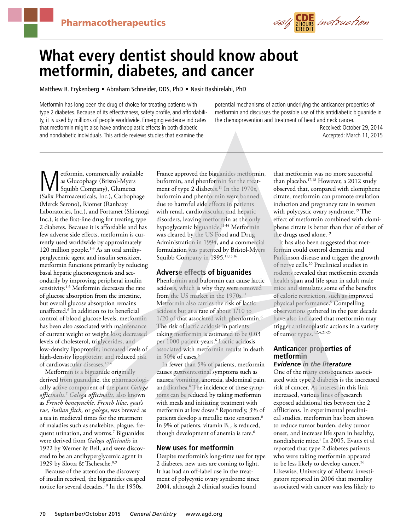

# **What every dentist should know about metformin, diabetes, and cancer**

Matthew R. Frykenberg = Abraham Schneider, DDS, PhD = Nasir Bashirelahi, PhD

Metformin has long been the drug of choice for treating patients with type 2 diabetes. Because of its effectiveness, safety profile, and affordability, it is used by millions of people worldwide. Emerging evidence indicates that metformin might also have antineoplastic effects in both diabetic and nondiabetic individuals. This article reviews studies that examine the

potential mechanisms of action underlying the anticancer properties of metformin and discusses the possible use of this antidiabetic biguanide in the chemoprevention and treatment of head and neck cancer.

> Received: October 29, 2014 Accepted: March 11, 2015

**Metformin, commercially available**<br>
Squibb Company), Glumetza<br>
(Solix Pharmacauticals Inc.) Carbonhage as Glucophage (Bristol-Myers (Salix Pharmaceuticals, Inc.), Carbophage (Merck Serono), Riomet (Ranbaxy Laboratories, Inc.), and Fortamet (Shionogi Inc.), is the first-line drug for treating type 2 diabetes. Because it is affordable and has few adverse side effects, metformin is currently used worldwide by approximately 120 million people.<sup>1-3</sup> As an oral antihyperglycemic agent and insulin sensitizer, metformin functions primarily by reducing basal hepatic gluconeogenesis and secondarily by improving peripheral insulin sensitivity.<sup>4-6</sup> Metformin decreases the rate of glucose absorption from the intestine, but overall glucose absorption remains unaffected.6 In addition to its beneficial control of blood glucose levels, metformin has been also associated with maintenance of current weight or weight loss; decreased levels of cholesterol, triglycerides, and low-density lipoprotein; increased levels of high-density lipoprotein; and reduced risk of cardiovascular diseases.1,5,6

Metformin is a biguanide originally derived from guanidine, the pharmacologically active component of the plant *Galega officinalis*. <sup>7</sup> *Galega officinalis,* also known as *French honeysuckle, French lilac, goat's rue, Italian fitch,* or *galega*, was brewed as a tea in medieval times for the treatment of maladies such as snakebite, plague, frequent urination, and worms.7 Biguanides were derived from *Galega officinalis* in 1922 by Werner & Bell, and were discovered to be an antihyperglycemic agent in 1929 by Slotta & Tschesche.<sup>8,9</sup>

Because of the attention the discovery of insulin received, the biguanides escaped notice for several decades.10 In the 1950s,

France approved the biguanides metformin, buformin, and phenformin for the treatment of type 2 diabetes.<sup>11</sup> In the 1970s, buformin and phenformin were banned due to harmful side effects in patients with renal, cardiovascular, and hepatic disorders, leaving metformin as the only hypoglycemic biguanide.11-14 Metformin was cleared by the US Food and Drug Administration in 1994, and a commercial formulation was patented by Bristol-Myers Squibb Company in 1995.<sup>11,15,16</sup>

## **Adverse effects of biguanides**

Phenformin and buformin can cause lactic acidosis, which is why they were removed from the US market in the 1970s.<sup>11</sup> Metformin also carries the risk of lactic acidosis but at a rate of about 1/10 to 1/20 of that associated with phenformin.<sup>6</sup> The risk of lactic acidosis in patients taking metformin is estimated to be 0.03 per 1000 patient-years.<sup>6</sup> Lactic acidosis associated with metformin results in death in 50% of cases. $6$ 

In fewer than 5% of patients, metformin causes gastrointestinal symptoms such as nausea, vomiting, anorexia, abdominal pain, and diarrhea.<sup>6</sup> The incidence of these symptoms can be reduced by taking metformin with meals and initiating treatment with metformin at low doses.<sup>6</sup> Reportedly, 3% of patients develop a metallic taste sensation.<sup>6</sup> In 9% of patients, vitamin  $B_{12}$  is reduced, though development of anemia is rare.<sup>6</sup>

## **New uses for metformin**

Despite metformin's long-time use for type 2 diabetes, new uses are coming to light. It has had an off-label use in the treatment of polycystic ovary syndrome since 2004, although 2 clinical studies found

that metformin was no more successful than placebo.17,18 However, a 2012 study observed that, compared with clomiphene citrate, metformin can promote ovulation induction and pregnancy rate in women with polycystic ovary syndrome.<sup>19</sup> The effect of metformin combined with clomiphene citrate is better than that of either of the drugs used alone.<sup>19</sup>

It has also been suggested that metformin could control dementia and Parkinson disease and trigger the growth of nerve cells.20 Preclinical studies in rodents revealed that metformin extends health span and life span in adult male mice and simulates some of the benefits of calorie restriction, such as improved physical performance.5 Compelling observations gathered in the past decade have also indicated that metformin may trigger antineoplastic actions in a variety of tumor types.<sup>1,2,4,21-25</sup>

## **Anticancer properties of metformin**

## *Evidence in the literature*

One of the many consequences associated with type 2 diabetes is the increased risk of cancer. As interest in this link increased, various lines of research exposed additional ties between the 2 afflictions. In experimental preclinical studies, metformin has been shown to reduce tumor burden, delay tumor onset, and increase life span in healthy, nondiabetic mice.5 In 2005, Evans et al reported that type 2 diabetes patients who were taking metformin appeared to be less likely to develop cancer.<sup>26</sup> Likewise, University of Alberta investigators reported in 2006 that mortality associated with cancer was less likely to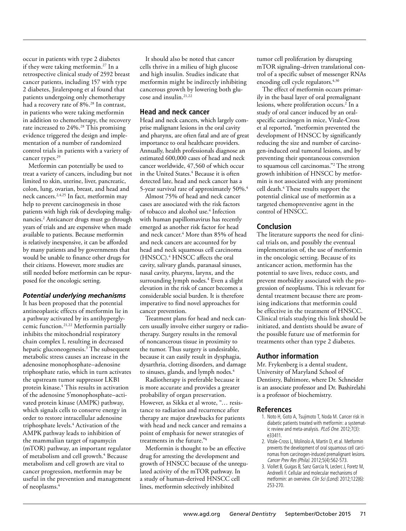occur in patients with type 2 diabetes if they were taking metformin.<sup>27</sup> In a retrospective clinical study of 2592 breast cancer patients, including 157 with type 2 diabetes, Jiralerspong et al found that patients undergoing only chemotherapy had a recovery rate of 8%.<sup>28</sup> In contrast, in patients who were taking metformin in addition to chemotherapy, the recovery rate increased to 24%.<sup>28</sup> This promising evidence triggered the design and implementation of a number of randomized control trials in patients with a variety of cancer types.<sup>29</sup>

Metformin can potentially be used to treat a variety of cancers, including but not limited to skin, uterine, liver, pancreatic, colon, lung, ovarian, breast, and head and neck cancers.2,4,25 In fact, metformin may help to prevent carcinogenesis in those patients with high risk of developing malignancies.2 Anticancer drugs must go through years of trials and are expensive when made available to patients. Because metformin is relatively inexpensive, it can be afforded by many patients and by governments that would be unable to finance other drugs for their citizens. However, more studies are still needed before metformin can be repurposed for the oncologic setting.

#### *Potential underlying mechanisms*

It has been proposed that the potential antineoplastic effects of metformin lie in a pathway activated by its antihyperglycemic function.21,22 Metformin partially inhibits the mitochondrial respiratory chain complex I, resulting in decreased hepatic gluconeogenesis.3 The subsequent metabolic stress causes an increase in the adenosine monophosphate–adenosine triphosphate ratio, which in turn activates the upstream tumor suppressor LKB1 protein kinase.4 This results in activation of the adenosine 5'monophosphate–activated protein kinase (AMPK) pathway, which signals cells to conserve energy in order to restore intracellular adenosine triphosphate levels.4 Activation of the AMPK pathway leads to inhibition of the mammalian target of rapamycin (mTOR) pathway, an important regulator of metabolism and cell growth.<sup>4</sup> Because metabolism and cell growth are vital to cancer progression, metformin may be useful in the prevention and management of neoplasms.4

It should also be noted that cancer cells thrive in a milieu of high glucose and high insulin. Studies indicate that metformin might be indirectly inhibiting cancerous growth by lowering both glucose and insulin.<sup>21,22</sup>

## **Head and neck cancer**

Head and neck cancers, which largely comprise malignant lesions in the oral cavity and pharynx, are often fatal and are of great importance to oral healthcare providers. Annually, health professionals diagnose an estimated 600,000 cases of head and neck cancer worldwide, 47,560 of which occur in the United States.<sup>4</sup> Because it is often detected late, head and neck cancer has a 5-year survival rate of approximately 50%.4

Almost 75% of head and neck cancer cases are associated with the risk factors of tobacco and alcohol use.4 Infection with human papillomavirus has recently emerged as another risk factor for head and neck cancer.4 More than 85% of head and neck cancers are accounted for by head and neck squamous cell carcinoma (HNSCC).4 HNSCC affects the oral cavity, salivary glands, paranasal sinuses, nasal cavity, pharynx, larynx, and the surrounding lymph nodes.4 Even a slight elevation in the risk of cancer becomes a considerable social burden. It is therefore imperative to find novel approaches for cancer prevention.

Treatment plans for head and neck cancers usually involve either surgery or radiotherapy. Surgery results in the removal of noncancerous tissue in proximity to the tumor. Thus surgery is undesirable, because it can easily result in dysphagia, dysarthria, clotting disorders, and damage to sinuses, glands, and lymph nodes.<sup>4</sup>

Radiotherapy is preferable because it is more accurate and provides a greater probability of organ preservation. However, as Sikka et al wrote, "… resistance to radiation and recurrence after therapy are major drawbacks for patients with head and neck cancer and remains a point of emphasis for newer strategies of treatments in the future."4

Metformin is thought to be an effective drug for arresting the development and growth of HNSCC because of the unregulated activity of the mTOR pathway. In a study of human-derived HNSCC cell lines, metformin selectively inhibited

tumor cell proliferation by disrupting mTOR signaling–driven translational control of a specific subset of messenger RNAs encoding cell cycle regulators.<sup>4,30</sup>

The effect of metformin occurs primarily in the basal layer of oral premalignant lesions, where proliferation occurs.<sup>2</sup> In a study of oral cancer induced by an oralspecific carcinogen in mice, Vitale-Cross et al reported, "metformin prevented the development of HNSCC by significantly reducing the size and number of carcinogen-induced oral tumoral lesions, and by preventing their spontaneous conversion to squamous cell carcinomas."2 The strong growth inhibition of HNSCC by metformin is not associated with any prominent cell death.4 These results support the potential clinical use of metformin as a targeted chemopreventive agent in the control of HNSCC.

## **Conclusion**

The literature supports the need for clinical trials on, and possibly the eventual implementation of, the use of metformin in the oncologic setting. Because of its anticancer action, metformin has the potential to save lives, reduce costs, and prevent morbidity associated with the progression of neoplasms. This is relevant for dental treatment because there are promising indications that metformin could be effective in the treatment of HNSCC. Clinical trials studying this link should be initiated, and dentists should be aware of the possible future use of metformin for treatments other than type 2 diabetes.

#### **Author information**

Mr. Frykenberg is a dental student, University of Maryland School of Dentistry, Baltimore, where Dr. Schneider is an associate professor and Dr. Bashirelahi is a professor of biochemistry.

#### **References**

- 1. Noto H, Goto A, Tsujimoto T, Noda M. Cancer risk in diabetic patients treated with metformin: a systematic review and meta-analysis. PLoS One. 2012;7(3): e33411.
- 2. Vitale-Cross L, Molinolo A, Martin D, et al. Metformin prevents the development of oral squamous cell carcinomas from carcinogen-induced premalignant lesions. Cancer Prev Res (Phila). 2012;5(4):562-573.
- 3. Viollet B, Guigas B, Sanz Garcia N, Leclerc J, Foretz M, Andreelli F. Cellular and molecular mechanisms of metformin: an overview. Clin Sci (Lond). 2012;122(6): 253-270.